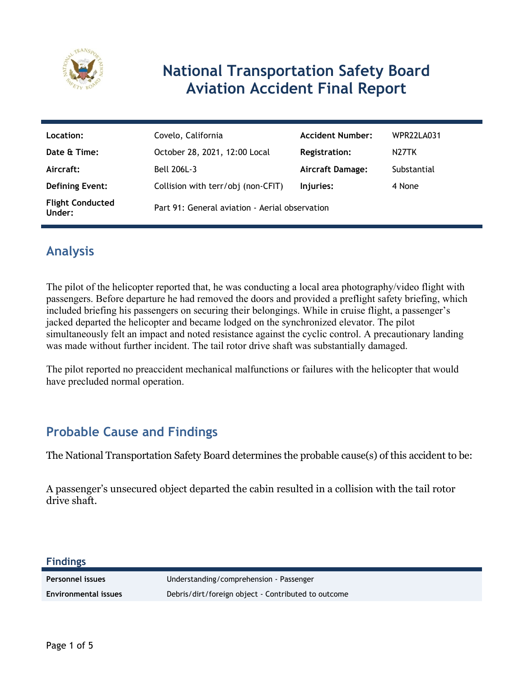

# **National Transportation Safety Board Aviation Accident Final Report**

| Location:                         | Covelo, California                             | <b>Accident Number:</b> | WPR22LA031         |
|-----------------------------------|------------------------------------------------|-------------------------|--------------------|
| Date & Time:                      | October 28, 2021, 12:00 Local                  | Registration:           | N <sub>27</sub> TK |
| Aircraft:                         | <b>Bell 206L-3</b>                             | <b>Aircraft Damage:</b> | Substantial        |
| <b>Defining Event:</b>            | Collision with terr/obj (non-CFIT)             | Injuries:               | 4 None             |
| <b>Flight Conducted</b><br>Under: | Part 91: General aviation - Aerial observation |                         |                    |

### **Analysis**

The pilot of the helicopter reported that, he was conducting a local area photography/video flight with passengers. Before departure he had removed the doors and provided a preflight safety briefing, which included briefing his passengers on securing their belongings. While in cruise flight, a passenger's jacked departed the helicopter and became lodged on the synchronized elevator. The pilot simultaneously felt an impact and noted resistance against the cyclic control. A precautionary landing was made without further incident. The tail rotor drive shaft was substantially damaged.

The pilot reported no preaccident mechanical malfunctions or failures with the helicopter that would have precluded normal operation.

### **Probable Cause and Findings**

The National Transportation Safety Board determines the probable cause(s) of this accident to be:

A passenger's unsecured object departed the cabin resulted in a collision with the tail rotor drive shaft.

#### **Findings**

**Personnel issues** Understanding/comprehension - Passenger **Environmental issues** Debris/dirt/foreign object - Contributed to outcome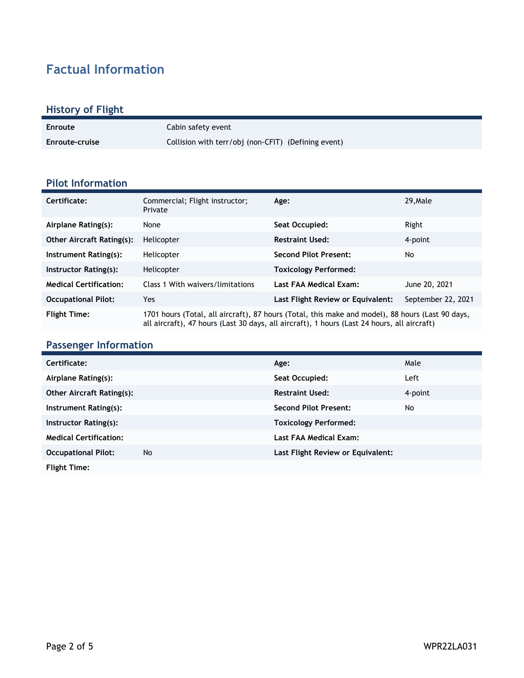## **Factual Information**

### **History of Flight**

| Enroute        | Cabin safety event                                  |
|----------------|-----------------------------------------------------|
| Enroute-cruise | Collision with terr/obj (non-CFIT) (Defining event) |

#### **Pilot Information**

| Certificate:                     | Commercial; Flight instructor;<br>Private                                                                                                                                                       | Age:                              | 29. Male           |
|----------------------------------|-------------------------------------------------------------------------------------------------------------------------------------------------------------------------------------------------|-----------------------------------|--------------------|
| Airplane Rating(s):              | None                                                                                                                                                                                            | Seat Occupied:                    | Right              |
| <b>Other Aircraft Rating(s):</b> | Helicopter                                                                                                                                                                                      | <b>Restraint Used:</b>            | 4-point            |
| Instrument Rating(s):            | Helicopter                                                                                                                                                                                      | <b>Second Pilot Present:</b>      | No                 |
| Instructor Rating(s):            | Helicopter                                                                                                                                                                                      | <b>Toxicology Performed:</b>      |                    |
| <b>Medical Certification:</b>    | Class 1 With waivers/limitations                                                                                                                                                                | Last FAA Medical Exam:            | June 20, 2021      |
| <b>Occupational Pilot:</b>       | Yes                                                                                                                                                                                             | Last Flight Review or Equivalent: | September 22, 2021 |
| <b>Flight Time:</b>              | 1701 hours (Total, all aircraft), 87 hours (Total, this make and model), 88 hours (Last 90 days,<br>all aircraft), 47 hours (Last 30 days, all aircraft), 1 hours (Last 24 hours, all aircraft) |                                   |                    |

#### **Passenger Information**

| Certificate:                     |    | Age:                              | Male    |
|----------------------------------|----|-----------------------------------|---------|
| Airplane Rating(s):              |    | Seat Occupied:                    | Left    |
| <b>Other Aircraft Rating(s):</b> |    | <b>Restraint Used:</b>            | 4-point |
| Instrument Rating(s):            |    | <b>Second Pilot Present:</b>      | No      |
| Instructor Rating(s):            |    | <b>Toxicology Performed:</b>      |         |
| <b>Medical Certification:</b>    |    | Last FAA Medical Exam:            |         |
| <b>Occupational Pilot:</b>       | No | Last Flight Review or Equivalent: |         |
| <b>Flight Time:</b>              |    |                                   |         |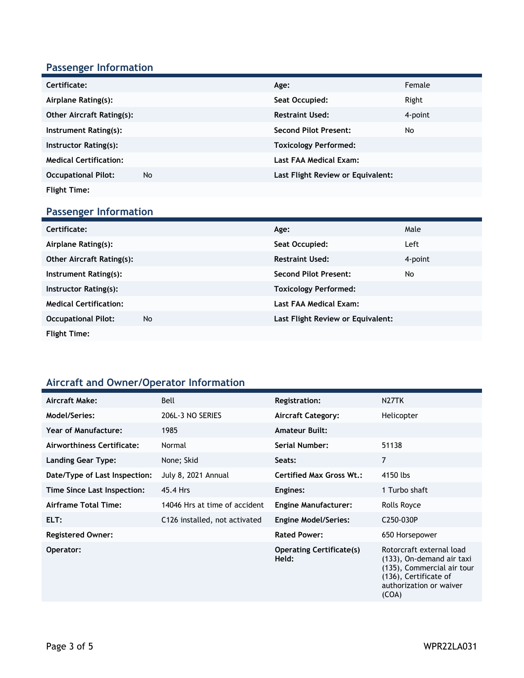### **Passenger Information**

| Certificate:                     |    | Age:                              | Female  |
|----------------------------------|----|-----------------------------------|---------|
| Airplane Rating(s):              |    | Seat Occupied:                    | Right   |
| <b>Other Aircraft Rating(s):</b> |    | <b>Restraint Used:</b>            | 4-point |
| Instrument Rating(s):            |    | <b>Second Pilot Present:</b>      | No      |
| Instructor Rating(s):            |    | <b>Toxicology Performed:</b>      |         |
| <b>Medical Certification:</b>    |    | Last FAA Medical Exam:            |         |
| <b>Occupational Pilot:</b>       | No | Last Flight Review or Equivalent: |         |
| <b>Flight Time:</b>              |    |                                   |         |

### **Passenger Information**

| Certificate:                     |    | Age:                              | Male    |
|----------------------------------|----|-----------------------------------|---------|
| Airplane Rating(s):              |    | Seat Occupied:                    | Left    |
| <b>Other Aircraft Rating(s):</b> |    | <b>Restraint Used:</b>            | 4-point |
| Instrument Rating(s):            |    | <b>Second Pilot Present:</b>      | No      |
| Instructor Rating(s):            |    | <b>Toxicology Performed:</b>      |         |
| <b>Medical Certification:</b>    |    | Last FAA Medical Exam:            |         |
| <b>Occupational Pilot:</b>       | No | Last Flight Review or Equivalent: |         |
| <b>Flight Time:</b>              |    |                                   |         |

#### **Aircraft and Owner/Operator Information**

| Aircraft Make:                | Bell                          | <b>Registration:</b>                     | N <sub>27</sub> TK                                                                                                                               |
|-------------------------------|-------------------------------|------------------------------------------|--------------------------------------------------------------------------------------------------------------------------------------------------|
| Model/Series:                 | 206L-3 NO SERIES              | <b>Aircraft Category:</b>                | Helicopter                                                                                                                                       |
| <b>Year of Manufacture:</b>   | 1985                          | <b>Amateur Built:</b>                    |                                                                                                                                                  |
| Airworthiness Certificate:    | Normal                        | Serial Number:                           | 51138                                                                                                                                            |
| Landing Gear Type:            | None; Skid                    | Seats:                                   | 7                                                                                                                                                |
| Date/Type of Last Inspection: | July 8, 2021 Annual           | <b>Certified Max Gross Wt.:</b>          | 4150 lbs                                                                                                                                         |
| Time Since Last Inspection:   | 45.4 Hrs                      | Engines:                                 | 1 Turbo shaft                                                                                                                                    |
| Airframe Total Time:          | 14046 Hrs at time of accident | <b>Engine Manufacturer:</b>              | Rolls Royce                                                                                                                                      |
| ELT:                          | C126 installed, not activated | <b>Engine Model/Series:</b>              | C <sub>250</sub> -030P                                                                                                                           |
| <b>Registered Owner:</b>      |                               | <b>Rated Power:</b>                      | 650 Horsepower                                                                                                                                   |
| Operator:                     |                               | <b>Operating Certificate(s)</b><br>Held: | Rotorcraft external load<br>(133), On-demand air taxi<br>(135), Commercial air tour<br>(136), Certificate of<br>authorization or waiver<br>(COA) |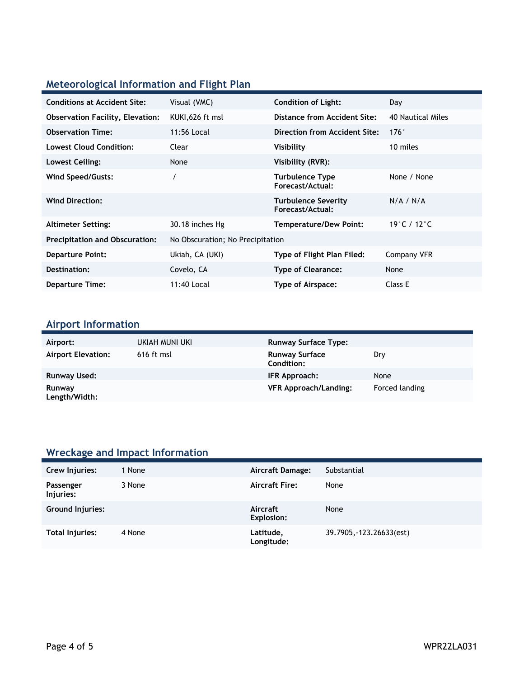### **Meteorological Information and Flight Plan**

| <b>Conditions at Accident Site:</b>     | Visual (VMC)                     | <b>Condition of Light:</b>                     | Day                               |
|-----------------------------------------|----------------------------------|------------------------------------------------|-----------------------------------|
| <b>Observation Facility, Elevation:</b> | KUKI,626 ft msl                  | Distance from Accident Site:                   | 40 Nautical Miles                 |
| <b>Observation Time:</b>                | 11:56 Local                      | Direction from Accident Site:                  | $176^\circ$                       |
| <b>Lowest Cloud Condition:</b>          | Clear                            | Visibility                                     | 10 miles                          |
| Lowest Ceiling:                         | None                             | Visibility (RVR):                              |                                   |
| Wind Speed/Gusts:                       |                                  | Turbulence Type<br>Forecast/Actual:            | None / None                       |
| <b>Wind Direction:</b>                  |                                  | <b>Turbulence Severity</b><br>Forecast/Actual: | N/A / N/A                         |
| <b>Altimeter Setting:</b>               | 30.18 inches Hg                  | Temperature/Dew Point:                         | 19 $^{\circ}$ C / 12 $^{\circ}$ C |
| <b>Precipitation and Obscuration:</b>   | No Obscuration; No Precipitation |                                                |                                   |
| <b>Departure Point:</b>                 | Ukiah, CA (UKI)                  | Type of Flight Plan Filed:                     | Company VFR                       |
| Destination:                            | Covelo, CA                       | <b>Type of Clearance:</b>                      | None                              |
| <b>Departure Time:</b>                  | 11:40 Local                      | Type of Airspace:                              | Class E                           |

#### **Airport Information**

| Airport:                  | UKIAH MUNI UKI | <b>Runway Surface Type:</b>         |                |
|---------------------------|----------------|-------------------------------------|----------------|
| <b>Airport Elevation:</b> | 616 ft msl     | <b>Runway Surface</b><br>Condition: | Dry            |
| Runway Used:              |                | IFR Approach:                       | None           |
| Runway<br>Length/Width:   |                | <b>VFR Approach/Landing:</b>        | Forced landing |

### **Wreckage and Impact Information**

| Crew Injuries:         | 1 None | Aircraft Damage:              | Substantial              |
|------------------------|--------|-------------------------------|--------------------------|
| Passenger<br>Injuries: | 3 None | <b>Aircraft Fire:</b>         | None                     |
| Ground Injuries:       |        | Aircraft<br><b>Explosion:</b> | None                     |
| Total Injuries:        | 4 None | Latitude,<br>Longitude:       | 39.7905, -123.26633(est) |